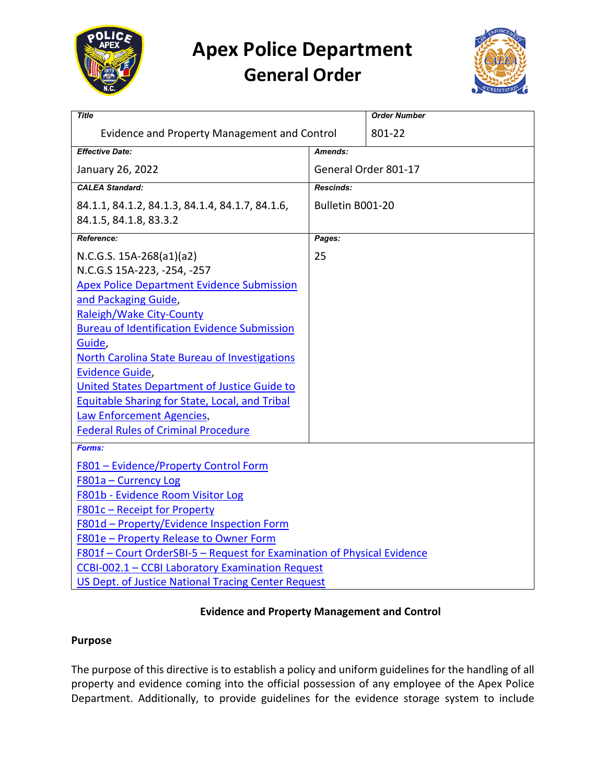

# **Apex Police Department General Order**



| <b>Title</b>                                                            |                      | <b>Order Number</b> |
|-------------------------------------------------------------------------|----------------------|---------------------|
| Evidence and Property Management and Control                            |                      | 801-22              |
| <b>Effective Date:</b>                                                  | Amends:              |                     |
| January 26, 2022                                                        | General Order 801-17 |                     |
| <b>CALEA Standard:</b>                                                  | <b>Rescinds:</b>     |                     |
| 84.1.1, 84.1.2, 84.1.3, 84.1.4, 84.1.7, 84.1.6,                         | Bulletin B001-20     |                     |
| 84.1.5, 84.1.8, 83.3.2                                                  |                      |                     |
| Reference:                                                              | Pages:               |                     |
| N.C.G.S. 15A-268(a1)(a2)                                                | 25                   |                     |
| N.C.G.S 15A-223, -254, -257                                             |                      |                     |
| <b>Apex Police Department Evidence Submission</b>                       |                      |                     |
| and Packaging Guide,                                                    |                      |                     |
| Raleigh/Wake City-County                                                |                      |                     |
| <b>Bureau of Identification Evidence Submission</b>                     |                      |                     |
| Guide,                                                                  |                      |                     |
| <b>North Carolina State Bureau of Investigations</b>                    |                      |                     |
| <b>Evidence Guide,</b>                                                  |                      |                     |
| United States Department of Justice Guide to                            |                      |                     |
| Equitable Sharing for State, Local, and Tribal                          |                      |                     |
| Law Enforcement Agencies,                                               |                      |                     |
| <b>Federal Rules of Criminal Procedure</b>                              |                      |                     |
| Forms:                                                                  |                      |                     |
| F801 - Evidence/Property Control Form                                   |                      |                     |
| F801a - Currency Log                                                    |                      |                     |
| F801b - Evidence Room Visitor Log                                       |                      |                     |
| F801c - Receipt for Property                                            |                      |                     |
| F801d - Property/Evidence Inspection Form                               |                      |                     |
| F801e - Property Release to Owner Form                                  |                      |                     |
| F801f - Court OrderSBI-5 - Request for Examination of Physical Evidence |                      |                     |
| CCBI-002.1 - CCBI Laboratory Examination Request                        |                      |                     |
| US Dept. of Justice National Tracing Center Request                     |                      |                     |

#### **Evidence and Property Management and Control**

#### **Purpose**

The purpose of this directive is to establish a policy and uniform guidelines for the handling of all property and evidence coming into the official possession of any employee of the Apex Police Department. Additionally, to provide guidelines for the evidence storage system to include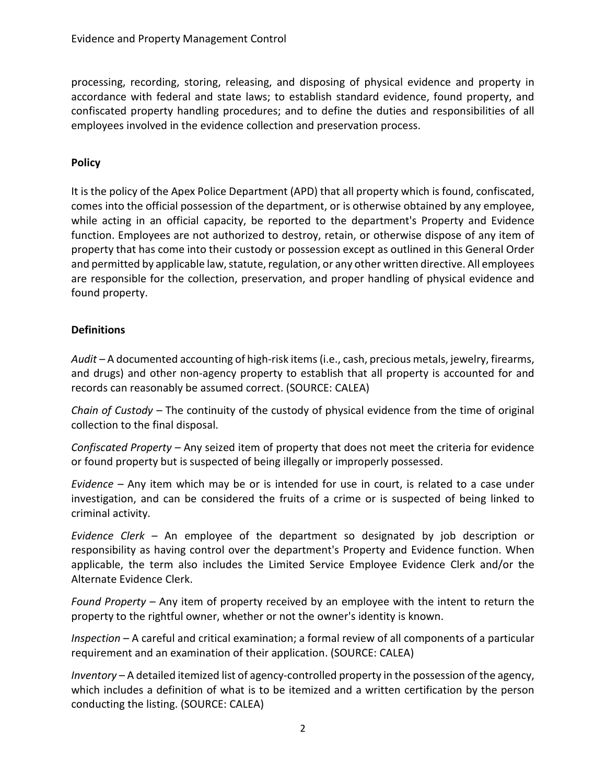processing, recording, storing, releasing, and disposing of physical evidence and property in accordance with federal and state laws; to establish standard evidence, found property, and confiscated property handling procedures; and to define the duties and responsibilities of all employees involved in the evidence collection and preservation process.

#### **Policy**

It is the policy of the Apex Police Department (APD) that all property which is found, confiscated, comes into the official possession of the department, or is otherwise obtained by any employee, while acting in an official capacity, be reported to the department's Property and Evidence function. Employees are not authorized to destroy, retain, or otherwise dispose of any item of property that has come into their custody or possession except as outlined in this General Order and permitted by applicable law, statute, regulation, or any other written directive. All employees are responsible for the collection, preservation, and proper handling of physical evidence and found property.

#### **Definitions**

*Audit –* A documented accounting of high-risk items (i.e., cash, precious metals, jewelry, firearms, and drugs) and other non-agency property to establish that all property is accounted for and records can reasonably be assumed correct. (SOURCE: CALEA)

*Chain of Custody –* The continuity of the custody of physical evidence from the time of original collection to the final disposal.

*Confiscated Property –* Any seized item of property that does not meet the criteria for evidence or found property but is suspected of being illegally or improperly possessed.

*Evidence –* Any item which may be or is intended for use in court, is related to a case under investigation, and can be considered the fruits of a crime or is suspected of being linked to criminal activity.

*Evidence Clerk –* An employee of the department so designated by job description or responsibility as having control over the department's Property and Evidence function. When applicable, the term also includes the Limited Service Employee Evidence Clerk and/or the Alternate Evidence Clerk.

*Found Property –* Any item of property received by an employee with the intent to return the property to the rightful owner, whether or not the owner's identity is known.

*Inspection* – A careful and critical examination; a formal review of all components of a particular requirement and an examination of their application. (SOURCE: CALEA)

*Inventory* – A detailed itemized list of agency-controlled property in the possession of the agency, which includes a definition of what is to be itemized and a written certification by the person conducting the listing. (SOURCE: CALEA)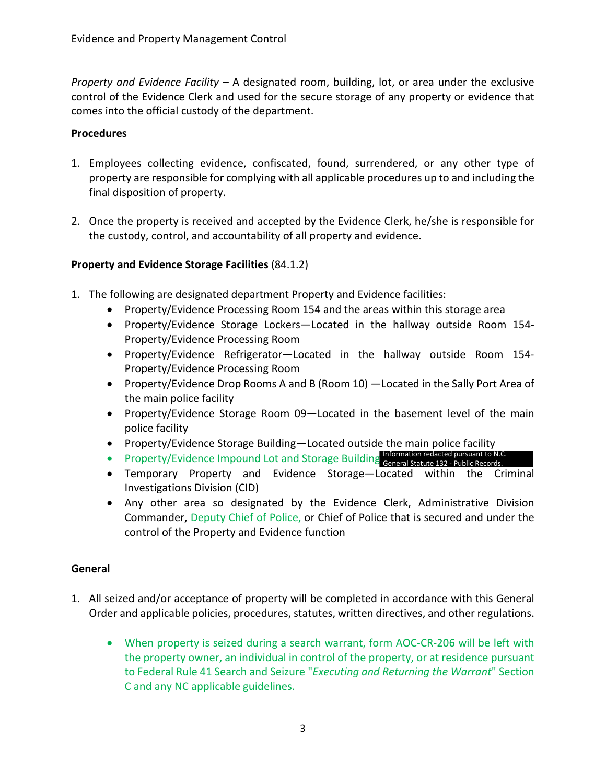*Property and Evidence Facility –* A designated room, building, lot, or area under the exclusive control of the Evidence Clerk and used for the secure storage of any property or evidence that comes into the official custody of the department.

#### **Procedures**

- 1. Employees collecting evidence, confiscated, found, surrendered, or any other type of property are responsible for complying with all applicable procedures up to and including the final disposition of property.
- 2. Once the property is received and accepted by the Evidence Clerk, he/she is responsible for the custody, control, and accountability of all property and evidence.

#### **Property and Evidence Storage Facilities** (84.1.2)

- 1. The following are designated department Property and Evidence facilities:
	- Property/Evidence Processing Room 154 and the areas within this storage area
	- Property/Evidence Storage Lockers—Located in the hallway outside Room 154- Property/Evidence Processing Room
	- Property/Evidence Refrigerator—Located in the hallway outside Room 154- Property/Evidence Processing Room
	- Property/Evidence Drop Rooms A and B (Room 10) —Located in the Sally Port Area of the main police facility
	- Property/Evidence Storage Room 09—Located in the basement level of the main police facility
	- Property/Evidence Storage Building—Located outside the main police facility
	- Property/Evidence Impound Lot and Storage Building Information redacted pursuant to N.C. General Statute 132 - Public Records.
	- Temporary Property and Evidence Storage—Located within the Criminal Investigations Division (CID)
	- Any other area so designated by the Evidence Clerk, Administrative Division Commander, Deputy Chief of Police, or Chief of Police that is secured and under the control of the Property and Evidence function

#### **General**

- 1. All seized and/or acceptance of property will be completed in accordance with this General Order and applicable policies, procedures, statutes, written directives, and other regulations.
	- When property is seized during a search warrant, form AOC-CR-206 will be left with the property owner, an individual in control of the property, or at residence pursuant to Federal Rule 41 Search and Seizure "*Executing and Returning the Warrant*" Section C and any NC applicable guidelines.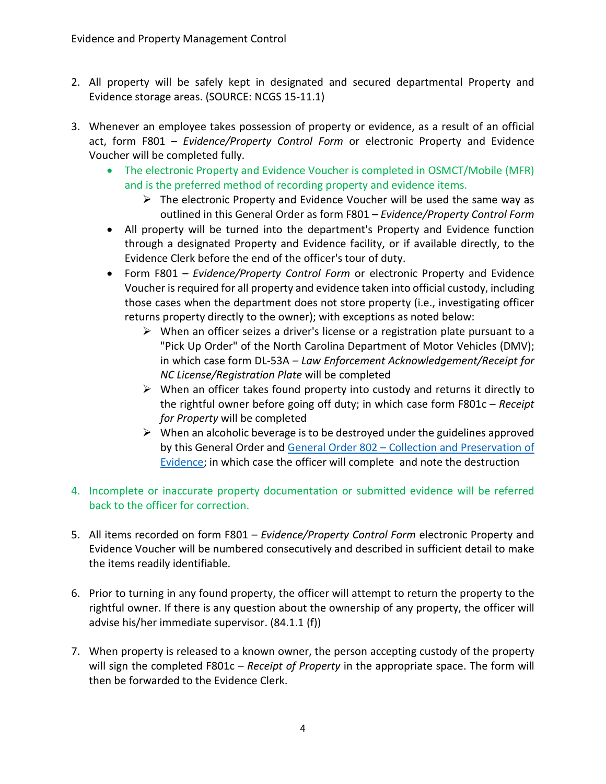- 2. All property will be safely kept in designated and secured departmental Property and Evidence storage areas. (SOURCE: NCGS 15-11.1)
- 3. Whenever an employee takes possession of property or evidence, as a result of an official act, form F801 – *Evidence/Property Control Form* or electronic Property and Evidence Voucher will be completed fully.
	- The electronic Property and Evidence Voucher is completed in OSMCT/Mobile (MFR) and is the preferred method of recording property and evidence items.
		- $\triangleright$  The electronic Property and Evidence Voucher will be used the same way as outlined in this General Order as form F801 – *Evidence/Property Control Form*
	- All property will be turned into the department's Property and Evidence function through a designated Property and Evidence facility, or if available directly, to the Evidence Clerk before the end of the officer's tour of duty.
	- Form F801 *Evidence/Property Control Form* or electronic Property and Evidence Voucher is required for all property and evidence taken into official custody, including those cases when the department does not store property (i.e., investigating officer returns property directly to the owner); with exceptions as noted below:
		- $\triangleright$  When an officer seizes a driver's license or a registration plate pursuant to a "Pick Up Order" of the North Carolina Department of Motor Vehicles (DMV); in which case form DL-53A *– Law Enforcement Acknowledgement/Receipt for NC License/Registration Plate* will be completed
		- $\triangleright$  When an officer takes found property into custody and returns it directly to the rightful owner before going off duty; in which case form F801c – *Receipt for Property* will be completed
		- $\triangleright$  When an alcoholic beverage is to be destroyed under the guidelines approved by this General Order and [General Order 802 – Collection and Preservation of](https://powerdms.com/link/APEXPD/document/?id=448884) [Evidence;](https://powerdms.com/link/APEXPD/document/?id=448884) in which case the officer will complete and note the destruction
- 4. Incomplete or inaccurate property documentation or submitted evidence will be referred back to the officer for correction.
- 5. All items recorded on form F801 *Evidence/Property Control Form* electronic Property and Evidence Voucher will be numbered consecutively and described in sufficient detail to make the items readily identifiable.
- 6. Prior to turning in any found property, the officer will attempt to return the property to the rightful owner. If there is any question about the ownership of any property, the officer will advise his/her immediate supervisor. (84.1.1 (f))
- 7. When property is released to a known owner, the person accepting custody of the property will sign the completed F801c – *Receipt of Property* in the appropriate space. The form will then be forwarded to the Evidence Clerk.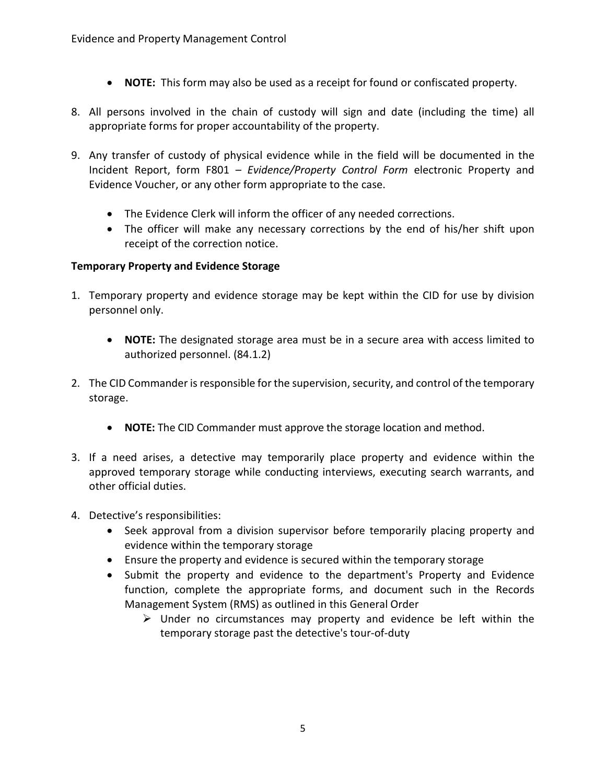- **NOTE:** This form may also be used as a receipt for found or confiscated property.
- 8. All persons involved in the chain of custody will sign and date (including the time) all appropriate forms for proper accountability of the property.
- 9. Any transfer of custody of physical evidence while in the field will be documented in the Incident Report, form F801 – *Evidence/Property Control Form* electronic Property and Evidence Voucher, or any other form appropriate to the case.
	- The Evidence Clerk will inform the officer of any needed corrections.
	- The officer will make any necessary corrections by the end of his/her shift upon receipt of the correction notice.

#### **Temporary Property and Evidence Storage**

- 1. Temporary property and evidence storage may be kept within the CID for use by division personnel only.
	- **NOTE:** The designated storage area must be in a secure area with access limited to authorized personnel. (84.1.2)
- 2. The CID Commander is responsible for the supervision, security, and control of the temporary storage.
	- **NOTE:** The CID Commander must approve the storage location and method.
- 3. If a need arises, a detective may temporarily place property and evidence within the approved temporary storage while conducting interviews, executing search warrants, and other official duties.
- 4. Detective's responsibilities:
	- Seek approval from a division supervisor before temporarily placing property and evidence within the temporary storage
	- Ensure the property and evidence is secured within the temporary storage
	- Submit the property and evidence to the department's Property and Evidence function, complete the appropriate forms, and document such in the Records Management System (RMS) as outlined in this General Order
		- $\triangleright$  Under no circumstances may property and evidence be left within the temporary storage past the detective's tour-of-duty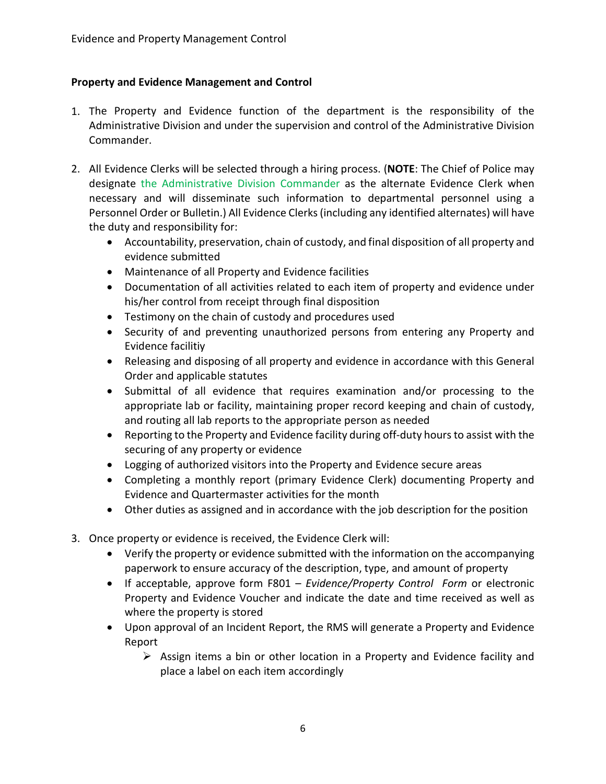## **Property and Evidence Management and Control**

- 1. The Property and Evidence function of the department is the responsibility of the Administrative Division and under the supervision and control of the Administrative Division Commander.
- 2. All Evidence Clerks will be selected through a hiring process. (**NOTE**: The Chief of Police may designate the Administrative Division Commander as the alternate Evidence Clerk when necessary and will disseminate such information to departmental personnel using a Personnel Order or Bulletin.) All Evidence Clerks (including any identified alternates) will have the duty and responsibility for:
	- Accountability, preservation, chain of custody, and final disposition of all property and evidence submitted
	- Maintenance of all Property and Evidence facilities
	- Documentation of all activities related to each item of property and evidence under his/her control from receipt through final disposition
	- Testimony on the chain of custody and procedures used
	- Security of and preventing unauthorized persons from entering any Property and Evidence facilitiy
	- Releasing and disposing of all property and evidence in accordance with this General Order and applicable statutes
	- Submittal of all evidence that requires examination and/or processing to the appropriate lab or facility, maintaining proper record keeping and chain of custody, and routing all lab reports to the appropriate person as needed
	- Reporting to the Property and Evidence facility during off-duty hours to assist with the securing of any property or evidence
	- Logging of authorized visitors into the Property and Evidence secure areas
	- Completing a monthly report (primary Evidence Clerk) documenting Property and Evidence and Quartermaster activities for the month
	- Other duties as assigned and in accordance with the job description for the position
- 3. Once property or evidence is received, the Evidence Clerk will:
	- Verify the property or evidence submitted with the information on the accompanying paperwork to ensure accuracy of the description, type, and amount of property
	- If acceptable, approve form F801 *Evidence/Property Control Form* or electronic Property and Evidence Voucher and indicate the date and time received as well as where the property is stored
	- Upon approval of an Incident Report, the RMS will generate a Property and Evidence Report
		- $\triangleright$  Assign items a bin or other location in a Property and Evidence facility and place a label on each item accordingly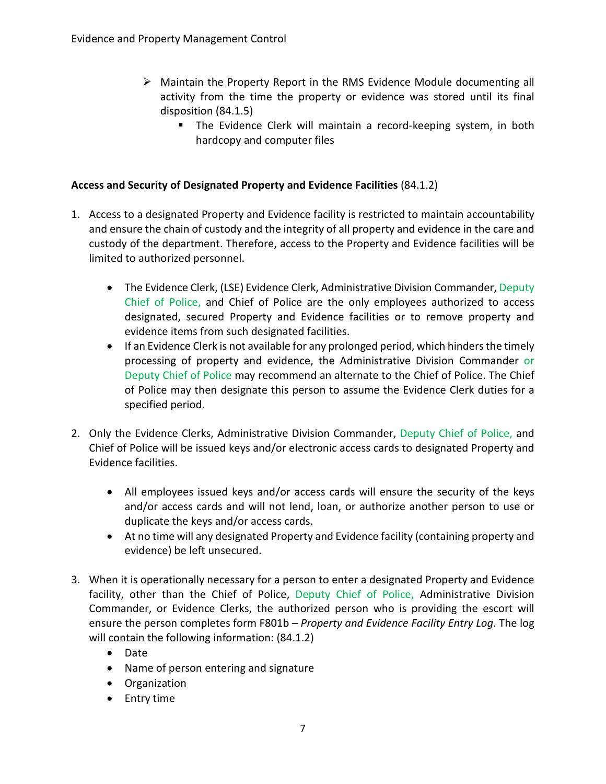- $\triangleright$  Maintain the Property Report in the RMS Evidence Module documenting all activity from the time the property or evidence was stored until its final disposition (84.1.5)
	- The Evidence Clerk will maintain a record-keeping system, in both hardcopy and computer files

## **Access and Security of Designated Property and Evidence Facilities** (84.1.2)

- 1. Access to a designated Property and Evidence facility is restricted to maintain accountability and ensure the chain of custody and the integrity of all property and evidence in the care and custody of the department. Therefore, access to the Property and Evidence facilities will be limited to authorized personnel.
	- The Evidence Clerk, (LSE) Evidence Clerk, Administrative Division Commander, Deputy Chief of Police, and Chief of Police are the only employees authorized to access designated, secured Property and Evidence facilities or to remove property and evidence items from such designated facilities.
	- If an Evidence Clerk is not available for any prolonged period, which hinders the timely processing of property and evidence, the Administrative Division Commander or Deputy Chief of Police may recommend an alternate to the Chief of Police. The Chief of Police may then designate this person to assume the Evidence Clerk duties for a specified period.
- 2. Only the Evidence Clerks, Administrative Division Commander, Deputy Chief of Police, and Chief of Police will be issued keys and/or electronic access cards to designated Property and Evidence facilities.
	- All employees issued keys and/or access cards will ensure the security of the keys and/or access cards and will not lend, loan, or authorize another person to use or duplicate the keys and/or access cards.
	- At no time will any designated Property and Evidence facility (containing property and evidence) be left unsecured.
- 3. When it is operationally necessary for a person to enter a designated Property and Evidence facility, other than the Chief of Police, Deputy Chief of Police, Administrative Division Commander, or Evidence Clerks, the authorized person who is providing the escort will ensure the person completes form F801b – *Property and Evidence Facility Entry Log*. The log will contain the following information: (84.1.2)
	- Date
	- Name of person entering and signature
	- Organization
	- Entry time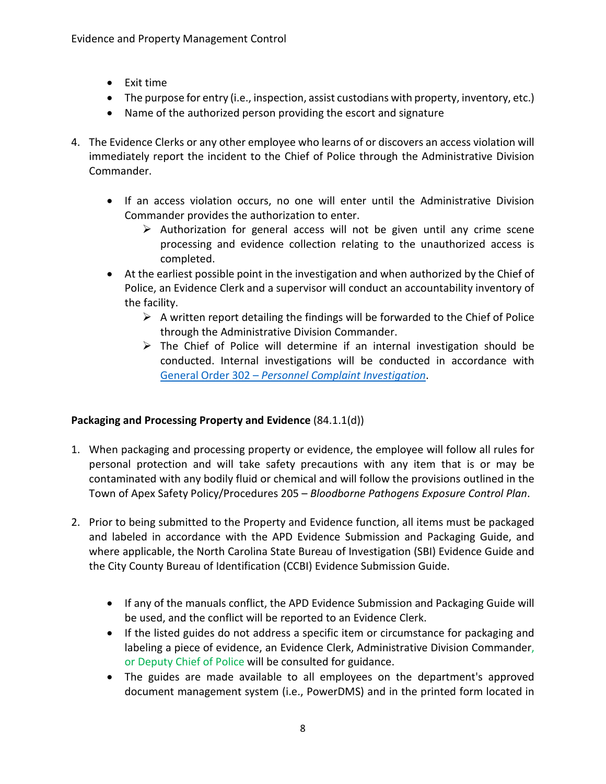- Exit time
- The purpose for entry (i.e., inspection, assist custodians with property, inventory, etc.)
- Name of the authorized person providing the escort and signature
- 4. The Evidence Clerks or any other employee who learns of or discovers an access violation will immediately report the incident to the Chief of Police through the Administrative Division Commander.
	- If an access violation occurs, no one will enter until the Administrative Division Commander provides the authorization to enter.
		- $\triangleright$  Authorization for general access will not be given until any crime scene processing and evidence collection relating to the unauthorized access is completed.
	- At the earliest possible point in the investigation and when authorized by the Chief of Police, an Evidence Clerk and a supervisor will conduct an accountability inventory of the facility.
		- $\triangleright$  A written report detailing the findings will be forwarded to the Chief of Police through the Administrative Division Commander.
		- $\triangleright$  The Chief of Police will determine if an internal investigation should be conducted. Internal investigations will be conducted in accordance with General Order 302 – *[Personnel Complaint Investigation](https://powerdms.com/link/APEXPD/document/?id=444867)*.

#### **Packaging and Processing Property and Evidence** (84.1.1(d))

- 1. When packaging and processing property or evidence, the employee will follow all rules for personal protection and will take safety precautions with any item that is or may be contaminated with any bodily fluid or chemical and will follow the provisions outlined in the Town of Apex Safety Policy/Procedures 205 – *Bloodborne Pathogens Exposure Control Plan*.
- 2. Prior to being submitted to the Property and Evidence function, all items must be packaged and labeled in accordance with the APD Evidence Submission and Packaging Guide, and where applicable, the North Carolina State Bureau of Investigation (SBI) Evidence Guide and the City County Bureau of Identification (CCBI) Evidence Submission Guide.
	- If any of the manuals conflict, the APD Evidence Submission and Packaging Guide will be used, and the conflict will be reported to an Evidence Clerk.
	- If the listed guides do not address a specific item or circumstance for packaging and labeling a piece of evidence, an Evidence Clerk, Administrative Division Commander, or Deputy Chief of Police will be consulted for guidance.
	- The guides are made available to all employees on the department's approved document management system (i.e., PowerDMS) and in the printed form located in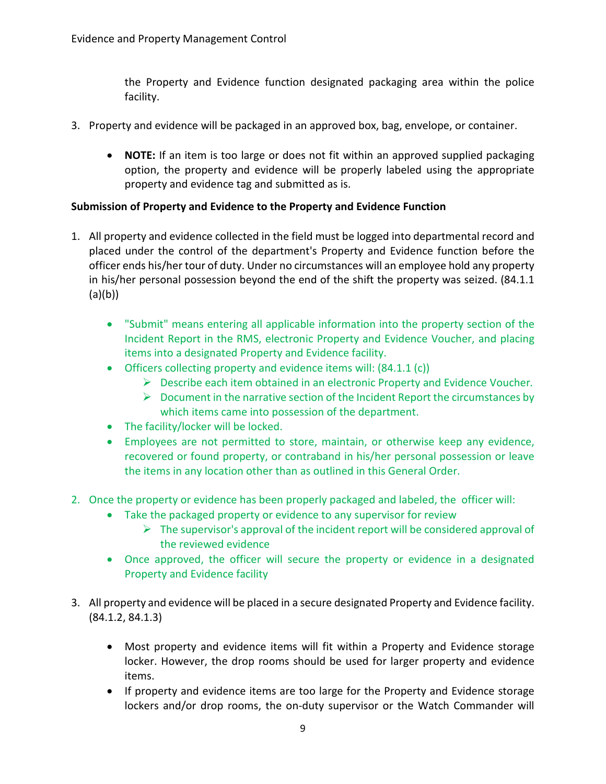the Property and Evidence function designated packaging area within the police facility.

- 3. Property and evidence will be packaged in an approved box, bag, envelope, or container.
	- **NOTE:** If an item is too large or does not fit within an approved supplied packaging option, the property and evidence will be properly labeled using the appropriate property and evidence tag and submitted as is.

#### **Submission of Property and Evidence to the Property and Evidence Function**

- 1. All property and evidence collected in the field must be logged into departmental record and placed under the control of the department's Property and Evidence function before the officer ends his/her tour of duty. Under no circumstances will an employee hold any property in his/her personal possession beyond the end of the shift the property was seized. (84.1.1 (a)(b))
	- "Submit" means entering all applicable information into the property section of the Incident Report in the RMS, electronic Property and Evidence Voucher, and placing items into a designated Property and Evidence facility.
	- Officers collecting property and evidence items will:  $(84.1.1 \text{ (c)})$ 
		- Describe each item obtained in an electronic Property and Evidence Voucher*.*
		- $\triangleright$  Document in the narrative section of the Incident Report the circumstances by which items came into possession of the department.
	- The facility/locker will be locked.
	- Employees are not permitted to store, maintain, or otherwise keep any evidence, recovered or found property, or contraband in his/her personal possession or leave the items in any location other than as outlined in this General Order.
- 2. Once the property or evidence has been properly packaged and labeled, the officer will:
	- Take the packaged property or evidence to any supervisor for review
		- $\triangleright$  The supervisor's approval of the incident report will be considered approval of the reviewed evidence
	- Once approved, the officer will secure the property or evidence in a designated Property and Evidence facility
- 3. All property and evidence will be placed in a secure designated Property and Evidence facility. (84.1.2, 84.1.3)
	- Most property and evidence items will fit within a Property and Evidence storage locker. However, the drop rooms should be used for larger property and evidence items.
	- If property and evidence items are too large for the Property and Evidence storage lockers and/or drop rooms, the on-duty supervisor or the Watch Commander will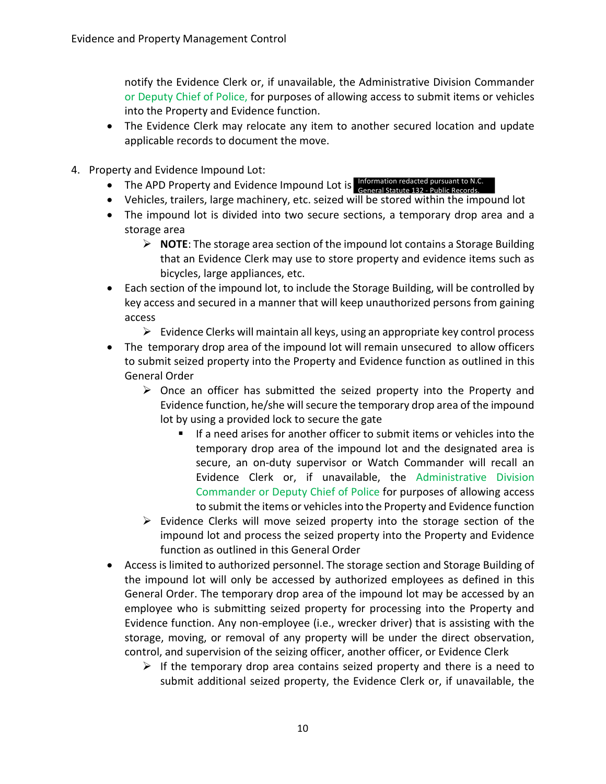notify the Evidence Clerk or, if unavailable, the Administrative Division Commander or Deputy Chief of Police, for purposes of allowing access to submit items or vehicles into the Property and Evidence function.

- The Evidence Clerk may relocate any item to another secured location and update applicable records to document the move.
- 4. Property and Evidence Impound Lot:
	- The APD Property and Evidence Impound Lot is Information redacted pursuant to N.C.
	- Vehicles, trailers, large machinery, etc. seized will be stored within the impound lot General Statute 132 - Public Records.
	- The impound lot is divided into two secure sections, a temporary drop area and a storage area
		- **NOTE**: The storage area section of the impound lot contains a Storage Building that an Evidence Clerk may use to store property and evidence items such as bicycles, large appliances, etc.
	- Each section of the impound lot, to include the Storage Building, will be controlled by key access and secured in a manner that will keep unauthorized persons from gaining access
		- $\triangleright$  Evidence Clerks will maintain all keys, using an appropriate key control process
	- The temporary drop area of the impound lot will remain unsecured to allow officers to submit seized property into the Property and Evidence function as outlined in this General Order
		- $\triangleright$  Once an officer has submitted the seized property into the Property and Evidence function, he/she will secure the temporary drop area of the impound lot by using a provided lock to secure the gate
			- If a need arises for another officer to submit items or vehicles into the temporary drop area of the impound lot and the designated area is secure, an on-duty supervisor or Watch Commander will recall an Evidence Clerk or, if unavailable, the Administrative Division Commander or Deputy Chief of Police for purposes of allowing access to submit the items or vehicles into the Property and Evidence function
		- $\triangleright$  Evidence Clerks will move seized property into the storage section of the impound lot and process the seized property into the Property and Evidence function as outlined in this General Order
	- Access is limited to authorized personnel. The storage section and Storage Building of the impound lot will only be accessed by authorized employees as defined in this General Order. The temporary drop area of the impound lot may be accessed by an employee who is submitting seized property for processing into the Property and Evidence function. Any non-employee (i.e., wrecker driver) that is assisting with the storage, moving, or removal of any property will be under the direct observation, control, and supervision of the seizing officer, another officer, or Evidence Clerk
		- $\triangleright$  If the temporary drop area contains seized property and there is a need to submit additional seized property, the Evidence Clerk or, if unavailable, the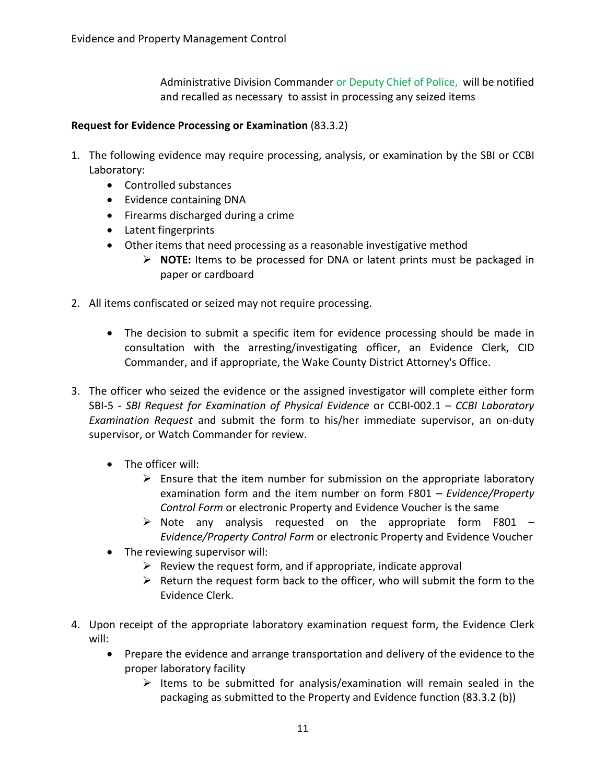Administrative Division Commander or Deputy Chief of Police, will be notified and recalled as necessary to assist in processing any seized items

#### **Request for Evidence Processing or Examination** (83.3.2)

- 1. The following evidence may require processing, analysis, or examination by the SBI or CCBI Laboratory:
	- Controlled substances
	- Evidence containing DNA
	- Firearms discharged during a crime
	- Latent fingerprints
	- Other items that need processing as a reasonable investigative method
		- **NOTE:** Items to be processed for DNA or latent prints must be packaged in paper or cardboard
- 2. All items confiscated or seized may not require processing.
	- The decision to submit a specific item for evidence processing should be made in consultation with the arresting/investigating officer, an Evidence Clerk, CID Commander, and if appropriate, the Wake County District Attorney's Office.
- 3. The officer who seized the evidence or the assigned investigator will complete either form SBI-5 - *SBI Request for Examination of Physical Evidence* or CCBI-002.1 – *CCBI Laboratory Examination Request* and submit the form to his/her immediate supervisor, an on-duty supervisor, or Watch Commander for review.
	- The officer will:
		- $\triangleright$  Ensure that the item number for submission on the appropriate laboratory examination form and the item number on form F801 – *Evidence/Property Control Form* or electronic Property and Evidence Voucher is the same
		- $\triangleright$  Note any analysis requested on the appropriate form F801 *Evidence/Property Control Form* or electronic Property and Evidence Voucher
	- The reviewing supervisor will:
		- $\triangleright$  Review the request form, and if appropriate, indicate approval
		- $\triangleright$  Return the request form back to the officer, who will submit the form to the Evidence Clerk.
- 4. Upon receipt of the appropriate laboratory examination request form, the Evidence Clerk will:
	- Prepare the evidence and arrange transportation and delivery of the evidence to the proper laboratory facility
		- $\triangleright$  Items to be submitted for analysis/examination will remain sealed in the packaging as submitted to the Property and Evidence function (83.3.2 (b))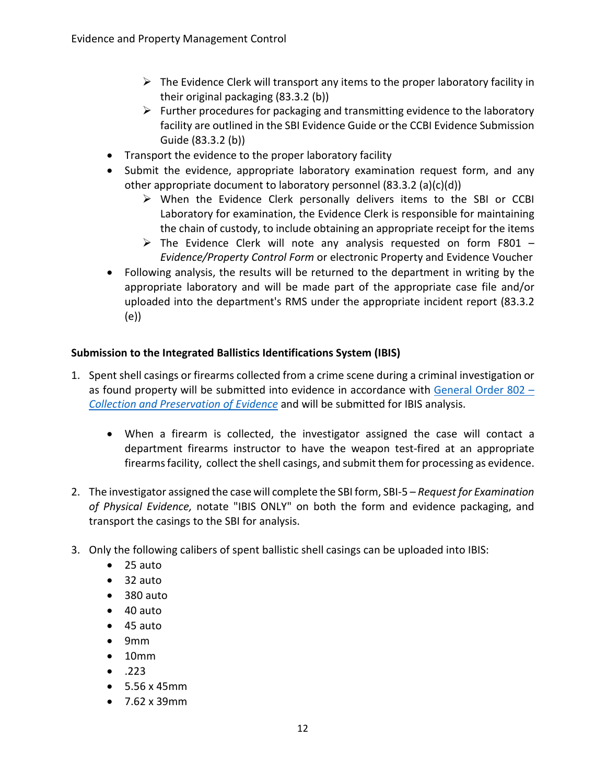- $\triangleright$  The Evidence Clerk will transport any items to the proper laboratory facility in their original packaging (83.3.2 (b))
- $\triangleright$  Further procedures for packaging and transmitting evidence to the laboratory facility are outlined in the SBI Evidence Guide or the CCBI Evidence Submission Guide (83.3.2 (b))
- Transport the evidence to the proper laboratory facility
- Submit the evidence, appropriate laboratory examination request form, and any other appropriate document to laboratory personnel (83.3.2 (a)(c)(d))
	- $\triangleright$  When the Evidence Clerk personally delivers items to the SBI or CCBI Laboratory for examination, the Evidence Clerk is responsible for maintaining the chain of custody, to include obtaining an appropriate receipt for the items
	- $\triangleright$  The Evidence Clerk will note any analysis requested on form F801 -*Evidence/Property Control Form* or electronic Property and Evidence Voucher
- Following analysis, the results will be returned to the department in writing by the appropriate laboratory and will be made part of the appropriate case file and/or uploaded into the department's RMS under the appropriate incident report (83.3.2 (e))

#### **Submission to the Integrated Ballistics Identifications System (IBIS)**

- 1. Spent shell casings or firearms collected from a crime scene during a criminal investigation or as found property will be submitted into evidence in accordance with [General Order 802 –](https://powerdms.com/link/APEXPD/document/?id=448884) *[Collection and Preservation of Evidence](https://powerdms.com/link/APEXPD/document/?id=448884)* and will be submitted for IBIS analysis.
	- When a firearm is collected, the investigator assigned the case will contact a department firearms instructor to have the weapon test-fired at an appropriate firearms facility, collect the shell casings, and submit them for processing as evidence.
- 2. The investigator assigned the case will complete the SBI form, SBI-5 *Request for Examination of Physical Evidence,* notate "IBIS ONLY" on both the form and evidence packaging, and transport the casings to the SBI for analysis.
- 3. Only the following calibers of spent ballistic shell casings can be uploaded into IBIS:
	- 25 auto
	- 32 auto
	- 380 auto
	- 40 auto
	- 45 auto
	- 9mm
	- 10mm
	- $\bullet$  .223
	- 5.56 x 45mm
	- 7.62 x 39mm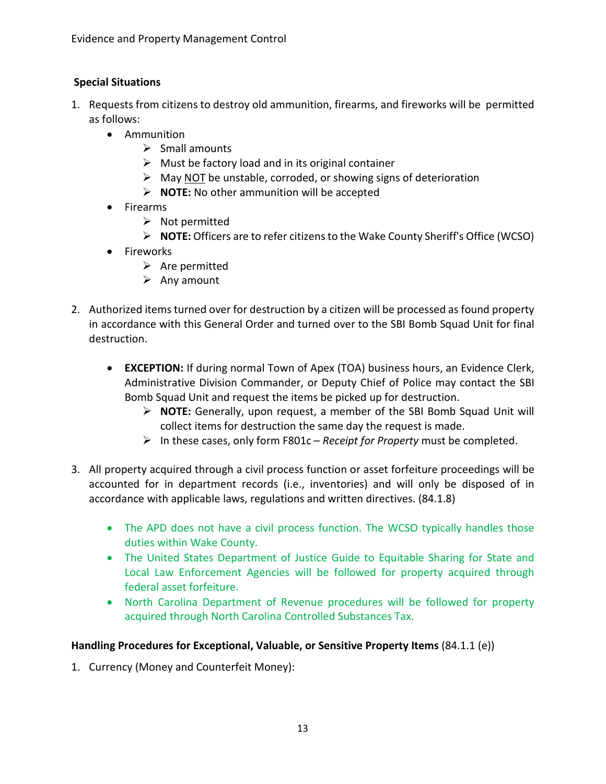# **Special Situations**

- 1. Requests from citizens to destroy old ammunition, firearms, and fireworks will be permitted as follows:
	- Ammunition
		- $\triangleright$  Small amounts
		- $\triangleright$  Must be factory load and in its original container
		- $\triangleright$  May NOT be unstable, corroded, or showing signs of deterioration
		- **NOTE:** No other ammunition will be accepted
	- Firearms
		- $\triangleright$  Not permitted
		- **NOTE:** Officers are to refer citizens to the Wake County Sheriff's Office (WCSO)
	- Fireworks
		- $\triangleright$  Are permitted
		- $\triangleright$  Any amount
- 2. Authorized items turned over for destruction by a citizen will be processed as found property in accordance with this General Order and turned over to the SBI Bomb Squad Unit for final destruction.
	- **EXCEPTION:** If during normal Town of Apex (TOA) business hours, an Evidence Clerk, Administrative Division Commander, or Deputy Chief of Police may contact the SBI Bomb Squad Unit and request the items be picked up for destruction.
		- **NOTE:** Generally, upon request, a member of the SBI Bomb Squad Unit will collect items for destruction the same day the request is made.
		- In these cases, only form F801c *Receipt for Property* must be completed.
- 3. All property acquired through a civil process function or asset forfeiture proceedings will be accounted for in department records (i.e., inventories) and will only be disposed of in accordance with applicable laws, regulations and written directives. (84.1.8)
	- The APD does not have a civil process function. The WCSO typically handles those duties within Wake County.
	- The United States Department of Justice Guide to Equitable Sharing for State and Local Law Enforcement Agencies will be followed for property acquired through federal asset forfeiture.
	- North Carolina Department of Revenue procedures will be followed for property acquired through North Carolina Controlled Substances Tax.

#### **Handling Procedures for Exceptional, Valuable, or Sensitive Property Items** (84.1.1 (e))

1. Currency (Money and Counterfeit Money):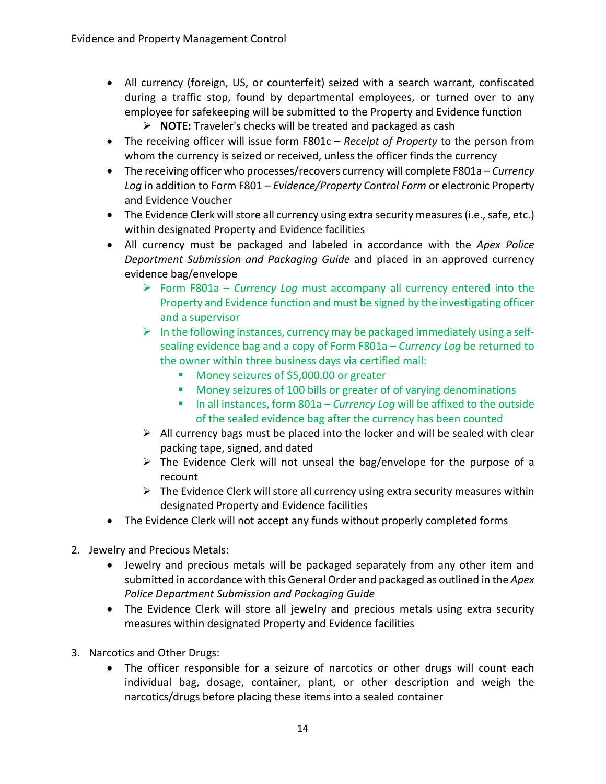- All currency (foreign, US, or counterfeit) seized with a search warrant, confiscated during a traffic stop, found by departmental employees, or turned over to any employee for safekeeping will be submitted to the Property and Evidence function
	- **NOTE:** Traveler's checks will be treated and packaged as cash
- The receiving officer will issue form F801c *Receipt of Property* to the person from whom the currency is seized or received, unless the officer finds the currency
- The receiving officer who processes/recovers currency will complete F801a *Currency Log* in addition to Form F801 – *Evidence/Property Control Form* or electronic Property and Evidence Voucher
- The Evidence Clerk will store all currency using extra security measures (i.e., safe, etc.) within designated Property and Evidence facilities
- All currency must be packaged and labeled in accordance with the *Apex Police Department Submission and Packaging Guide* and placed in an approved currency evidence bag/envelope
	- Form F801a *Currency Log* must accompany all currency entered into the Property and Evidence function and must be signed by the investigating officer and a supervisor
	- $\triangleright$  In the following instances, currency may be packaged immediately using a selfsealing evidence bag and a copy of Form F801a – *Currency Log* be returned to the owner within three business days via certified mail:
		- Money seizures of \$5,000.00 or greater
		- **Money seizures of 100 bills or greater of of varying denominations**
		- In all instances, form 801a *Currency Log* will be affixed to the outside of the sealed evidence bag after the currency has been counted
	- $\triangleright$  All currency bags must be placed into the locker and will be sealed with clear packing tape, signed, and dated
	- $\triangleright$  The Evidence Clerk will not unseal the bag/envelope for the purpose of a recount
	- $\triangleright$  The Evidence Clerk will store all currency using extra security measures within designated Property and Evidence facilities
- The Evidence Clerk will not accept any funds without properly completed forms
- 2. Jewelry and Precious Metals:
	- Jewelry and precious metals will be packaged separately from any other item and submitted in accordance with this General Order and packaged as outlined in the *Apex Police Department Submission and Packaging Guide*
	- The Evidence Clerk will store all jewelry and precious metals using extra security measures within designated Property and Evidence facilities
- 3. Narcotics and Other Drugs:
	- The officer responsible for a seizure of narcotics or other drugs will count each individual bag, dosage, container, plant, or other description and weigh the narcotics/drugs before placing these items into a sealed container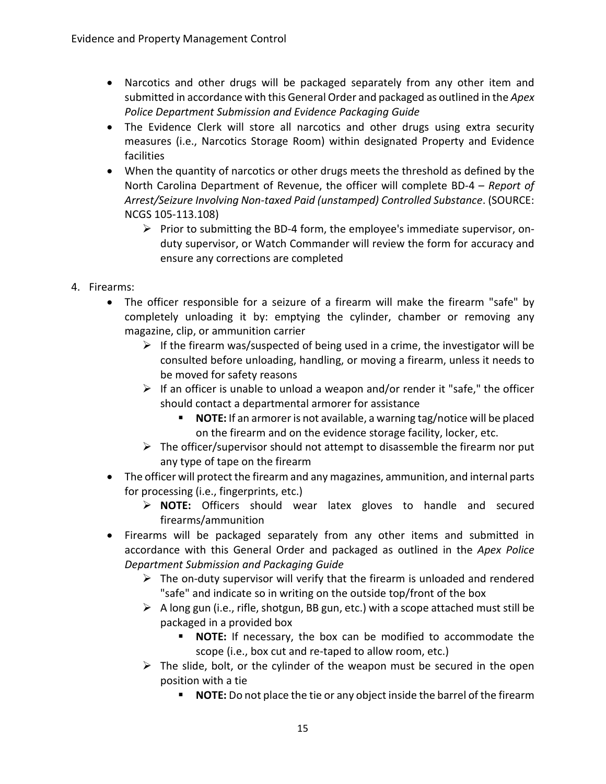- Narcotics and other drugs will be packaged separately from any other item and submitted in accordance with this General Order and packaged as outlined in the *Apex Police Department Submission and Evidence Packaging Guide*
- The Evidence Clerk will store all narcotics and other drugs using extra security measures (i.e., Narcotics Storage Room) within designated Property and Evidence facilities
- When the quantity of narcotics or other drugs meets the threshold as defined by the North Carolina Department of Revenue, the officer will complete BD-4 – *Report of Arrest/Seizure Involving Non-taxed Paid (unstamped) Controlled Substance*. (SOURCE: NCGS 105-113.108)
	- $\triangleright$  Prior to submitting the BD-4 form, the employee's immediate supervisor, onduty supervisor, or Watch Commander will review the form for accuracy and ensure any corrections are completed
- 4. Firearms:
	- The officer responsible for a seizure of a firearm will make the firearm "safe" by completely unloading it by: emptying the cylinder, chamber or removing any magazine, clip, or ammunition carrier
		- $\triangleright$  If the firearm was/suspected of being used in a crime, the investigator will be consulted before unloading, handling, or moving a firearm, unless it needs to be moved for safety reasons
		- $\triangleright$  If an officer is unable to unload a weapon and/or render it "safe," the officer should contact a departmental armorer for assistance
			- **NOTE:** If an armorer is not available, a warning tag/notice will be placed on the firearm and on the evidence storage facility, locker, etc.
		- $\triangleright$  The officer/supervisor should not attempt to disassemble the firearm nor put any type of tape on the firearm
	- The officer will protect the firearm and any magazines, ammunition, and internal parts for processing (i.e., fingerprints, etc.)
		- **NOTE:** Officers should wear latex gloves to handle and secured firearms/ammunition
	- Firearms will be packaged separately from any other items and submitted in accordance with this General Order and packaged as outlined in the *Apex Police Department Submission and Packaging Guide*
		- $\triangleright$  The on-duty supervisor will verify that the firearm is unloaded and rendered "safe" and indicate so in writing on the outside top/front of the box
		- $\triangleright$  A long gun (i.e., rifle, shotgun, BB gun, etc.) with a scope attached must still be packaged in a provided box
			- **NOTE:** If necessary, the box can be modified to accommodate the scope (i.e., box cut and re-taped to allow room, etc.)
		- $\triangleright$  The slide, bolt, or the cylinder of the weapon must be secured in the open position with a tie
			- **NOTE:** Do not place the tie or any object inside the barrel of the firearm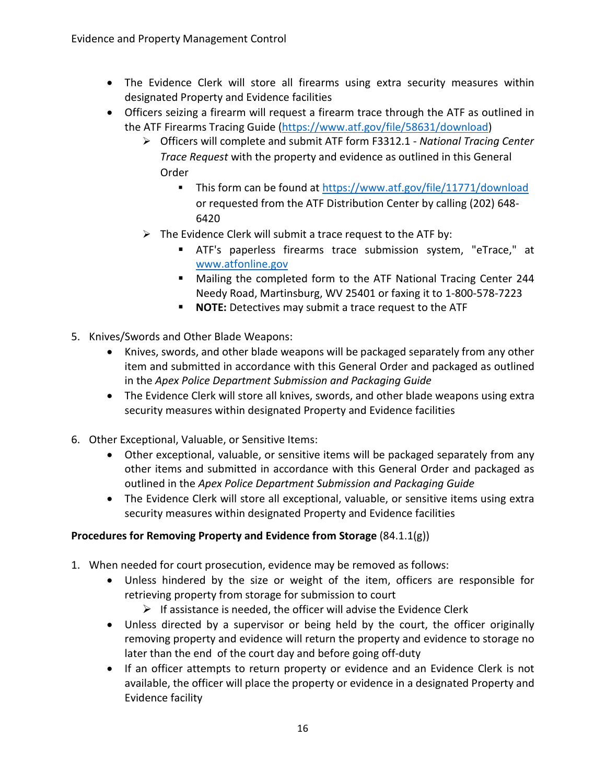- The Evidence Clerk will store all firearms using extra security measures within designated Property and Evidence facilities
- Officers seizing a firearm will request a firearm trace through the ATF as outlined in the ATF Firearms Tracing Guide [\(https://www.atf.gov/file/58631/download\)](https://www.atf.gov/file/58631/download)
	- Officers will complete and submit ATF form F3312.1 *National Tracing Center Trace Request* with the property and evidence as outlined in this General Order
		- This form can be found at<https://www.atf.gov/file/11771/download> or requested from the ATF Distribution Center by calling (202) 648- 6420
	- $\triangleright$  The Evidence Clerk will submit a trace request to the ATF by:
		- ATF's paperless firearms trace submission system, "eTrace," at [www.atfonline.gov](http://www.atfonline.gov/)
		- Mailing the completed form to the ATF National Tracing Center 244 Needy Road, Martinsburg, WV 25401 or faxing it to 1-800-578-7223
		- **NOTE:** Detectives may submit a trace request to the ATF
- 5. Knives/Swords and Other Blade Weapons:
	- Knives, swords, and other blade weapons will be packaged separately from any other item and submitted in accordance with this General Order and packaged as outlined in the *Apex Police Department Submission and Packaging Guide*
	- The Evidence Clerk will store all knives, swords, and other blade weapons using extra security measures within designated Property and Evidence facilities
- 6. Other Exceptional, Valuable, or Sensitive Items:
	- Other exceptional, valuable, or sensitive items will be packaged separately from any other items and submitted in accordance with this General Order and packaged as outlined in the *Apex Police Department Submission and Packaging Guide*
	- The Evidence Clerk will store all exceptional, valuable, or sensitive items using extra security measures within designated Property and Evidence facilities

#### **Procedures for Removing Property and Evidence from Storage** (84.1.1(g))

- 1. When needed for court prosecution, evidence may be removed as follows:
	- Unless hindered by the size or weight of the item, officers are responsible for retrieving property from storage for submission to court
		- $\triangleright$  If assistance is needed, the officer will advise the Evidence Clerk
	- Unless directed by a supervisor or being held by the court, the officer originally removing property and evidence will return the property and evidence to storage no later than the end of the court day and before going off-duty
	- If an officer attempts to return property or evidence and an Evidence Clerk is not available, the officer will place the property or evidence in a designated Property and Evidence facility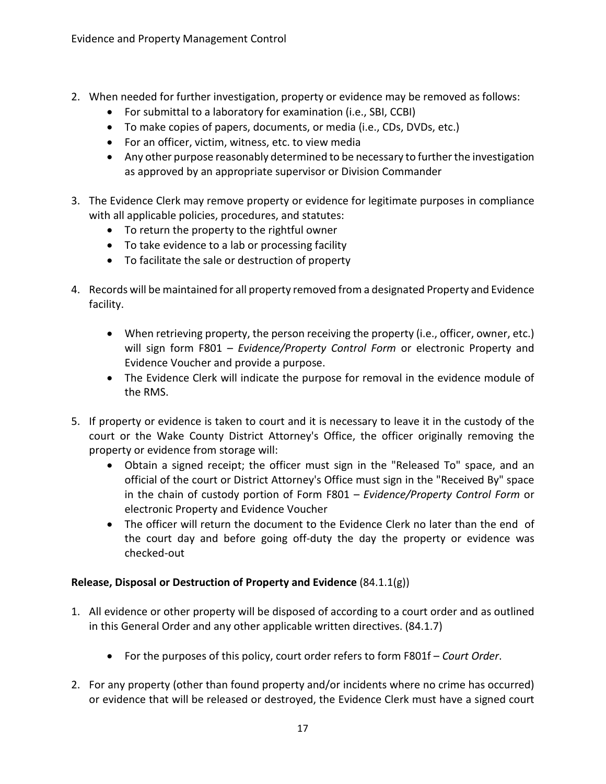- 2. When needed for further investigation, property or evidence may be removed as follows:
	- For submittal to a laboratory for examination (i.e., SBI, CCBI)
	- To make copies of papers, documents, or media (i.e., CDs, DVDs, etc.)
	- For an officer, victim, witness, etc. to view media
	- Any other purpose reasonably determined to be necessary to further the investigation as approved by an appropriate supervisor or Division Commander
- 3. The Evidence Clerk may remove property or evidence for legitimate purposes in compliance with all applicable policies, procedures, and statutes:
	- To return the property to the rightful owner
	- To take evidence to a lab or processing facility
	- To facilitate the sale or destruction of property
- 4. Records will be maintained for all property removed from a designated Property and Evidence facility.
	- When retrieving property, the person receiving the property (i.e., officer, owner, etc.) will sign form F801 – *Evidence/Property Control Form* or electronic Property and Evidence Voucher and provide a purpose.
	- The Evidence Clerk will indicate the purpose for removal in the evidence module of the RMS.
- 5. If property or evidence is taken to court and it is necessary to leave it in the custody of the court or the Wake County District Attorney's Office, the officer originally removing the property or evidence from storage will:
	- Obtain a signed receipt; the officer must sign in the "Released To" space, and an official of the court or District Attorney's Office must sign in the "Received By" space in the chain of custody portion of Form F801 – *Evidence/Property Control Form* or electronic Property and Evidence Voucher
	- The officer will return the document to the Evidence Clerk no later than the end of the court day and before going off-duty the day the property or evidence was checked-out

# **Release, Disposal or Destruction of Property and Evidence** (84.1.1(g))

- 1. All evidence or other property will be disposed of according to a court order and as outlined in this General Order and any other applicable written directives. (84.1.7)
	- For the purposes of this policy, court order refers to form F801f *Court Order*.
- 2. For any property (other than found property and/or incidents where no crime has occurred) or evidence that will be released or destroyed, the Evidence Clerk must have a signed court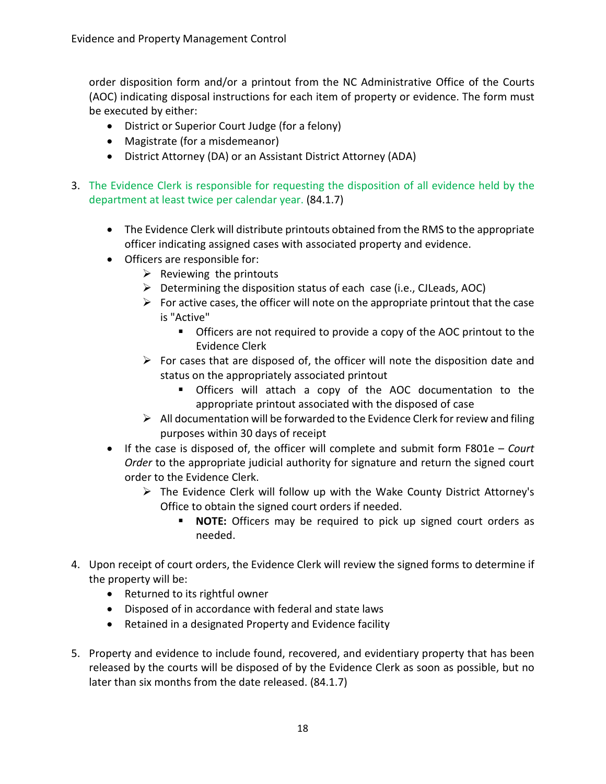order disposition form and/or a printout from the NC Administrative Office of the Courts (AOC) indicating disposal instructions for each item of property or evidence. The form must be executed by either:

- District or Superior Court Judge (for a felony)
- Magistrate (for a misdemeanor)
- District Attorney (DA) or an Assistant District Attorney (ADA)
- 3. The Evidence Clerk is responsible for requesting the disposition of all evidence held by the department at least twice per calendar year. (84.1.7)
	- The Evidence Clerk will distribute printouts obtained from the RMS to the appropriate officer indicating assigned cases with associated property and evidence.
	- Officers are responsible for:
		- $\triangleright$  Reviewing the printouts
		- $\triangleright$  Determining the disposition status of each case (i.e., CJLeads, AOC)
		- $\triangleright$  For active cases, the officer will note on the appropriate printout that the case is "Active"
			- Officers are not required to provide a copy of the AOC printout to the Evidence Clerk
		- $\triangleright$  For cases that are disposed of, the officer will note the disposition date and status on the appropriately associated printout
			- Officers will attach a copy of the AOC documentation to the appropriate printout associated with the disposed of case
		- $\triangleright$  All documentation will be forwarded to the Evidence Clerk for review and filing purposes within 30 days of receipt
	- If the case is disposed of, the officer will complete and submit form F801e *Court Order* to the appropriate judicial authority for signature and return the signed court order to the Evidence Clerk.
		- $\triangleright$  The Evidence Clerk will follow up with the Wake County District Attorney's Office to obtain the signed court orders if needed.
			- **NOTE:** Officers may be required to pick up signed court orders as needed.
- 4. Upon receipt of court orders, the Evidence Clerk will review the signed forms to determine if the property will be:
	- Returned to its rightful owner
	- Disposed of in accordance with federal and state laws
	- Retained in a designated Property and Evidence facility
- 5. Property and evidence to include found, recovered, and evidentiary property that has been released by the courts will be disposed of by the Evidence Clerk as soon as possible, but no later than six months from the date released. (84.1.7)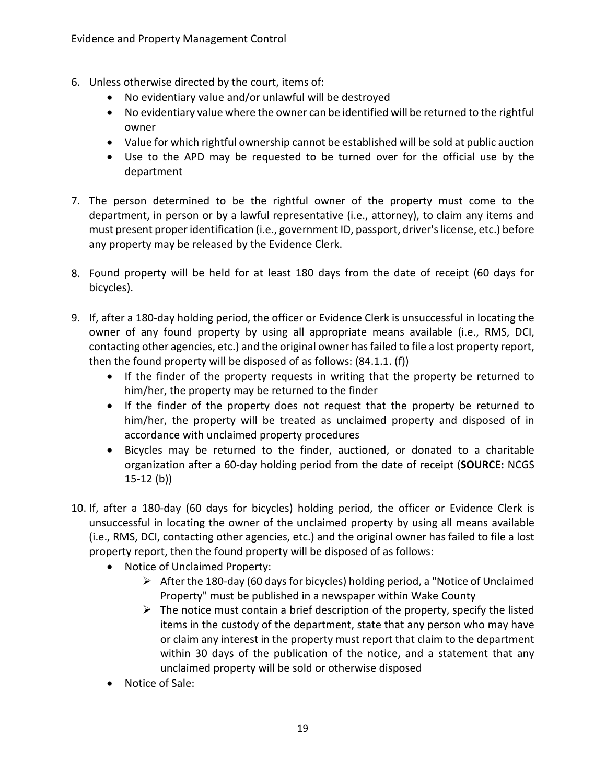- 6. Unless otherwise directed by the court, items of:
	- No evidentiary value and/or unlawful will be destroyed
	- No evidentiary value where the owner can be identified will be returned to the rightful owner
	- Value for which rightful ownership cannot be established will be sold at public auction
	- Use to the APD may be requested to be turned over for the official use by the department
- 7. The person determined to be the rightful owner of the property must come to the department, in person or by a lawful representative (i.e., attorney), to claim any items and must present proper identification (i.e., government ID, passport, driver's license, etc.) before any property may be released by the Evidence Clerk.
- 8. Found property will be held for at least 180 days from the date of receipt (60 days for bicycles).
- 9. If, after a 180-day holding period, the officer or Evidence Clerk is unsuccessful in locating the owner of any found property by using all appropriate means available (i.e., RMS, DCI, contacting other agencies, etc.) and the original owner has failed to file a lost property report, then the found property will be disposed of as follows: (84.1.1. (f))
	- If the finder of the property requests in writing that the property be returned to him/her, the property may be returned to the finder
	- If the finder of the property does not request that the property be returned to him/her, the property will be treated as unclaimed property and disposed of in accordance with unclaimed property procedures
	- Bicycles may be returned to the finder, auctioned, or donated to a charitable organization after a 60-day holding period from the date of receipt (**SOURCE:** NCGS 15-12 (b))
- 10. If, after a 180-day (60 days for bicycles) holding period, the officer or Evidence Clerk is unsuccessful in locating the owner of the unclaimed property by using all means available (i.e., RMS, DCI, contacting other agencies, etc.) and the original owner has failed to file a lost property report, then the found property will be disposed of as follows:
	- Notice of Unclaimed Property:
		- $\triangleright$  After the 180-day (60 days for bicycles) holding period, a "Notice of Unclaimed Property" must be published in a newspaper within Wake County
		- $\triangleright$  The notice must contain a brief description of the property, specify the listed items in the custody of the department, state that any person who may have or claim any interest in the property must report that claim to the department within 30 days of the publication of the notice, and a statement that any unclaimed property will be sold or otherwise disposed
	- Notice of Sale: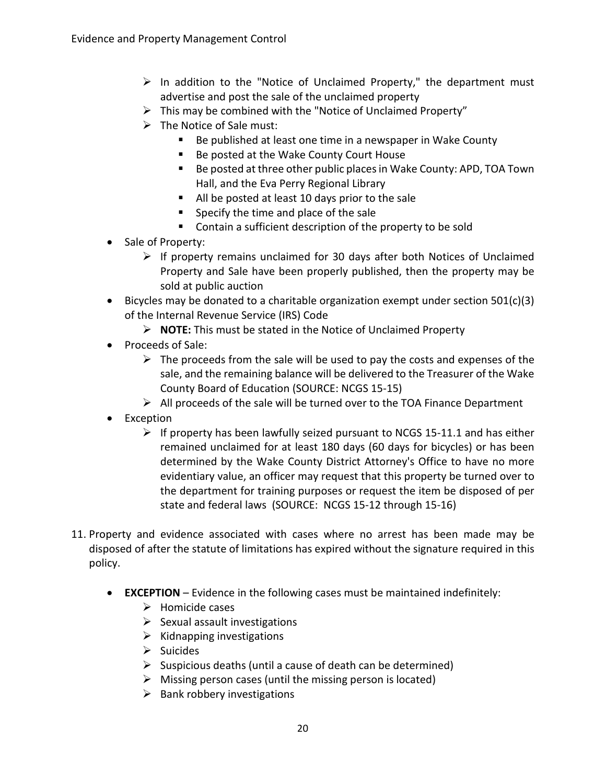- $\triangleright$  In addition to the "Notice of Unclaimed Property," the department must advertise and post the sale of the unclaimed property
- $\triangleright$  This may be combined with the "Notice of Unclaimed Property"
- $\triangleright$  The Notice of Sale must:
	- Be published at least one time in a newspaper in Wake County
	- Be posted at the Wake County Court House
	- Be posted at three other public places in Wake County: APD, TOA Town Hall, and the Eva Perry Regional Library
	- All be posted at least 10 days prior to the sale
	- **Specify the time and place of the sale**
	- Contain a sufficient description of the property to be sold
- Sale of Property:
	- $\triangleright$  If property remains unclaimed for 30 days after both Notices of Unclaimed Property and Sale have been properly published, then the property may be sold at public auction
- Bicycles may be donated to a charitable organization exempt under section 501(c)(3) of the Internal Revenue Service (IRS) Code
	- **NOTE:** This must be stated in the Notice of Unclaimed Property
- Proceeds of Sale:
	- $\triangleright$  The proceeds from the sale will be used to pay the costs and expenses of the sale, and the remaining balance will be delivered to the Treasurer of the Wake County Board of Education (SOURCE: NCGS 15-15)
	- $\triangleright$  All proceeds of the sale will be turned over to the TOA Finance Department
- Exception
	- $\triangleright$  If property has been lawfully seized pursuant to NCGS 15-11.1 and has either remained unclaimed for at least 180 days (60 days for bicycles) or has been determined by the Wake County District Attorney's Office to have no more evidentiary value, an officer may request that this property be turned over to the department for training purposes or request the item be disposed of per state and federal laws (SOURCE: NCGS 15-12 through 15-16)
- 11. Property and evidence associated with cases where no arrest has been made may be disposed of after the statute of limitations has expired without the signature required in this policy.
	- **EXCEPTION** Evidence in the following cases must be maintained indefinitely:
		- $\triangleright$  Homicide cases
		- $\triangleright$  Sexual assault investigations
		- $\triangleright$  Kidnapping investigations
		- $\triangleright$  Suicides
		- $\triangleright$  Suspicious deaths (until a cause of death can be determined)
		- $\triangleright$  Missing person cases (until the missing person is located)
		- $\triangleright$  Bank robbery investigations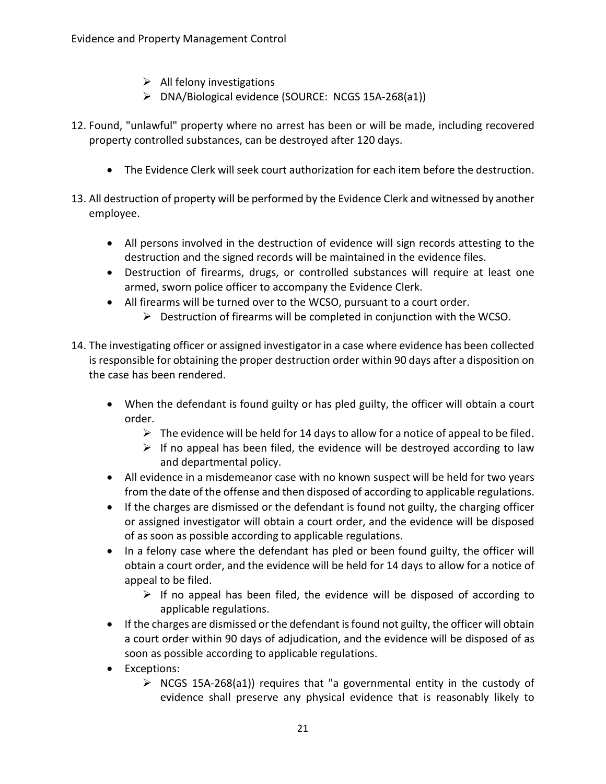- $\triangleright$  All felony investigations
- DNA/Biological evidence (SOURCE: NCGS 15A-268(a1))
- 12. Found, "unlawful" property where no arrest has been or will be made, including recovered property controlled substances, can be destroyed after 120 days.
	- The Evidence Clerk will seek court authorization for each item before the destruction.
- 13. All destruction of property will be performed by the Evidence Clerk and witnessed by another employee.
	- All persons involved in the destruction of evidence will sign records attesting to the destruction and the signed records will be maintained in the evidence files.
	- Destruction of firearms, drugs, or controlled substances will require at least one armed, sworn police officer to accompany the Evidence Clerk.
	- All firearms will be turned over to the WCSO, pursuant to a court order.
		- $\triangleright$  Destruction of firearms will be completed in conjunction with the WCSO.
- 14. The investigating officer or assigned investigator in a case where evidence has been collected is responsible for obtaining the proper destruction order within 90 days after a disposition on the case has been rendered.
	- When the defendant is found guilty or has pled guilty, the officer will obtain a court order.
		- $\triangleright$  The evidence will be held for 14 days to allow for a notice of appeal to be filed.
		- $\triangleright$  If no appeal has been filed, the evidence will be destroyed according to law and departmental policy.
	- All evidence in a misdemeanor case with no known suspect will be held for two years from the date of the offense and then disposed of according to applicable regulations.
	- If the charges are dismissed or the defendant is found not guilty, the charging officer or assigned investigator will obtain a court order, and the evidence will be disposed of as soon as possible according to applicable regulations.
	- In a felony case where the defendant has pled or been found guilty, the officer will obtain a court order, and the evidence will be held for 14 days to allow for a notice of appeal to be filed.
		- $\triangleright$  If no appeal has been filed, the evidence will be disposed of according to applicable regulations.
	- If the charges are dismissed or the defendant is found not guilty, the officer will obtain a court order within 90 days of adjudication, and the evidence will be disposed of as soon as possible according to applicable regulations.
	- Exceptions:
		- $\triangleright$  NCGS 15A-268(a1)) requires that "a governmental entity in the custody of evidence shall preserve any physical evidence that is reasonably likely to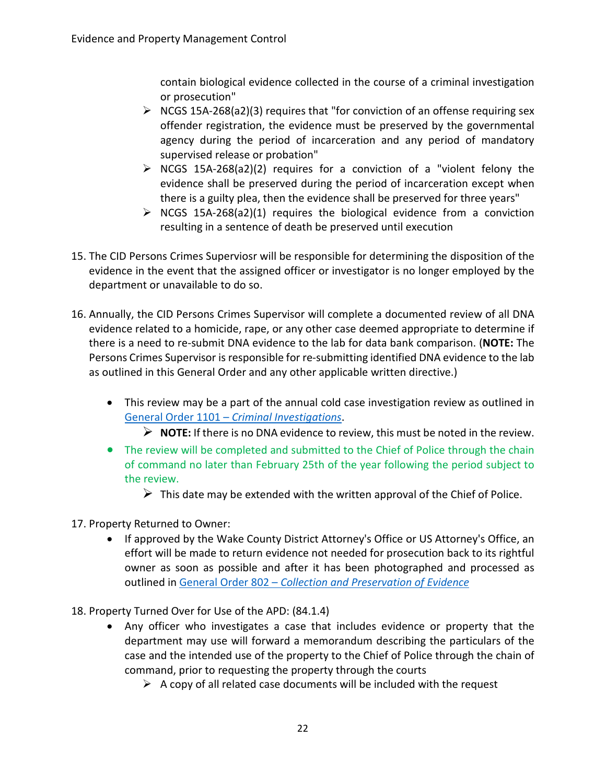contain biological evidence collected in the course of a criminal investigation or prosecution"

- $\triangleright$  NCGS 15A-268(a2)(3) requires that "for conviction of an offense requiring sex offender registration, the evidence must be preserved by the governmental agency during the period of incarceration and any period of mandatory supervised release or probation"
- $\triangleright$  NCGS 15A-268(a2)(2) requires for a conviction of a "violent felony the evidence shall be preserved during the period of incarceration except when there is a guilty plea, then the evidence shall be preserved for three years"
- $\triangleright$  NCGS 15A-268(a2)(1) requires the biological evidence from a conviction resulting in a sentence of death be preserved until execution
- 15. The CID Persons Crimes Superviosr will be responsible for determining the disposition of the evidence in the event that the assigned officer or investigator is no longer employed by the department or unavailable to do so.
- 16. Annually, the CID Persons Crimes Supervisor will complete a documented review of all DNA evidence related to a homicide, rape, or any other case deemed appropriate to determine if there is a need to re-submit DNA evidence to the lab for data bank comparison. (**NOTE:** The Persons Crimes Supervisor is responsible for re-submitting identified DNA evidence to the lab as outlined in this General Order and any other applicable written directive.)
	- This review may be a part of the annual cold case investigation review as outlined in General Order 1101 – *[Criminal Investigations](https://powerdms.com/link/APEXPD/document/?id=444156)*.
		- **NOTE:** If there is no DNA evidence to review, this must be noted in the review.
	- The review will be completed and submitted to the Chief of Police through the chain of command no later than February 25th of the year following the period subject to the review.
		- $\triangleright$  This date may be extended with the written approval of the Chief of Police.
- 17. Property Returned to Owner:
	- If approved by the Wake County District Attorney's Office or US Attorney's Office, an effort will be made to return evidence not needed for prosecution back to its rightful owner as soon as possible and after it has been photographed and processed as outlined in General Order 802 – *[Collection and Preservation of Evidence](https://powerdms.com/link/APEXPD/document/?id=448884)*
- 18. Property Turned Over for Use of the APD: (84.1.4)
	- Any officer who investigates a case that includes evidence or property that the department may use will forward a memorandum describing the particulars of the case and the intended use of the property to the Chief of Police through the chain of command, prior to requesting the property through the courts
		- $\triangleright$  A copy of all related case documents will be included with the request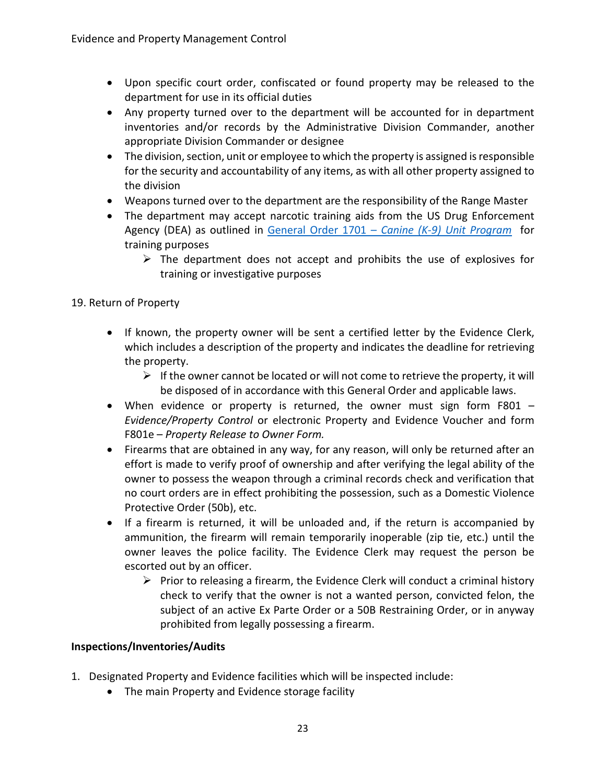- Upon specific court order, confiscated or found property may be released to the department for use in its official duties
- Any property turned over to the department will be accounted for in department inventories and/or records by the Administrative Division Commander, another appropriate Division Commander or designee
- The division, section, unit or employee to which the property is assigned is responsible for the security and accountability of any items, as with all other property assigned to the division
- Weapons turned over to the department are the responsibility of the Range Master
- The department may accept narcotic training aids from the US Drug Enforcement Agency (DEA) as outlined in [General Order 1701 –](https://powerdms.com/link/APEXPD/document/?id=604867) *Canine (K-9) Unit Program* for training purposes
	- $\triangleright$  The department does not accept and prohibits the use of explosives for training or investigative purposes

## 19. Return of Property

- If known, the property owner will be sent a certified letter by the Evidence Clerk, which includes a description of the property and indicates the deadline for retrieving the property.
	- $\triangleright$  If the owner cannot be located or will not come to retrieve the property, it will be disposed of in accordance with this General Order and applicable laws.
- When evidence or property is returned, the owner must sign form F801 *Evidence/Property Control* or electronic Property and Evidence Voucher and form F801e – *Property Release to Owner Form.*
- Firearms that are obtained in any way, for any reason, will only be returned after an effort is made to verify proof of ownership and after verifying the legal ability of the owner to possess the weapon through a criminal records check and verification that no court orders are in effect prohibiting the possession, such as a Domestic Violence Protective Order (50b), etc.
- If a firearm is returned, it will be unloaded and, if the return is accompanied by ammunition, the firearm will remain temporarily inoperable (zip tie, etc.) until the owner leaves the police facility. The Evidence Clerk may request the person be escorted out by an officer.
	- $\triangleright$  Prior to releasing a firearm, the Evidence Clerk will conduct a criminal history check to verify that the owner is not a wanted person, convicted felon, the subject of an active Ex Parte Order or a 50B Restraining Order, or in anyway prohibited from legally possessing a firearm.

#### **Inspections/Inventories/Audits**

- 1. Designated Property and Evidence facilities which will be inspected include:
	- The main Property and Evidence storage facility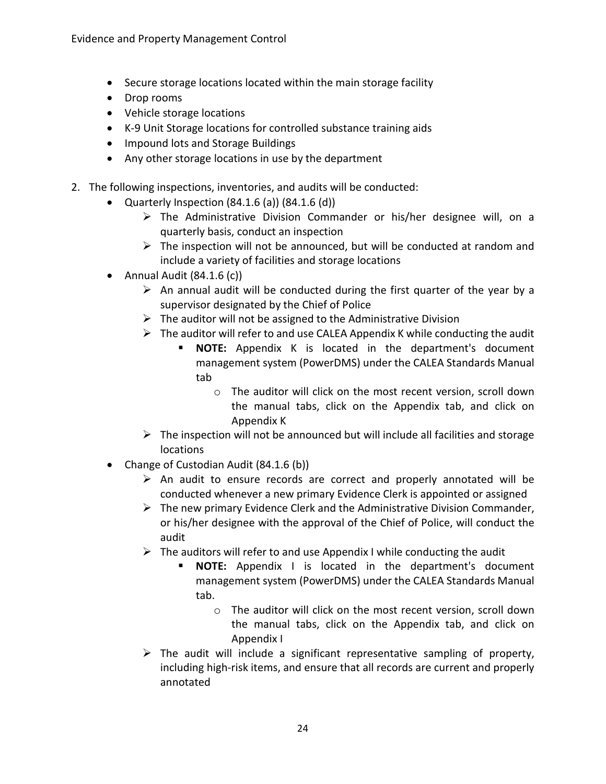- Secure storage locations located within the main storage facility
- Drop rooms
- Vehicle storage locations
- K-9 Unit Storage locations for controlled substance training aids
- Impound lots and Storage Buildings
- Any other storage locations in use by the department
- 2. The following inspections, inventories, and audits will be conducted:
	- Quarterly Inspection  $(84.1.6(a))$   $(84.1.6(d))$ 
		- The Administrative Division Commander or his/her designee will, on a quarterly basis, conduct an inspection
		- $\triangleright$  The inspection will not be announced, but will be conducted at random and include a variety of facilities and storage locations
	- Annual Audit (84.1.6 (c))
		- $\triangleright$  An annual audit will be conducted during the first quarter of the year by a supervisor designated by the Chief of Police
		- $\triangleright$  The auditor will not be assigned to the Administrative Division
		- $\triangleright$  The auditor will refer to and use CALEA Appendix K while conducting the audit
			- **NOTE:** Appendix K is located in the department's document management system (PowerDMS) under the CALEA Standards Manual tab
				- o The auditor will click on the most recent version, scroll down the manual tabs, click on the Appendix tab, and click on Appendix K
		- $\triangleright$  The inspection will not be announced but will include all facilities and storage locations
	- Change of Custodian Audit (84.1.6 (b))
		- $\triangleright$  An audit to ensure records are correct and properly annotated will be conducted whenever a new primary Evidence Clerk is appointed or assigned
		- $\triangleright$  The new primary Evidence Clerk and the Administrative Division Commander, or his/her designee with the approval of the Chief of Police, will conduct the audit
		- $\triangleright$  The auditors will refer to and use Appendix I while conducting the audit
			- **NOTE:** Appendix I is located in the department's document management system (PowerDMS) under the CALEA Standards Manual tab.
				- o The auditor will click on the most recent version, scroll down the manual tabs, click on the Appendix tab, and click on Appendix I
		- $\triangleright$  The audit will include a significant representative sampling of property, including high-risk items, and ensure that all records are current and properly annotated